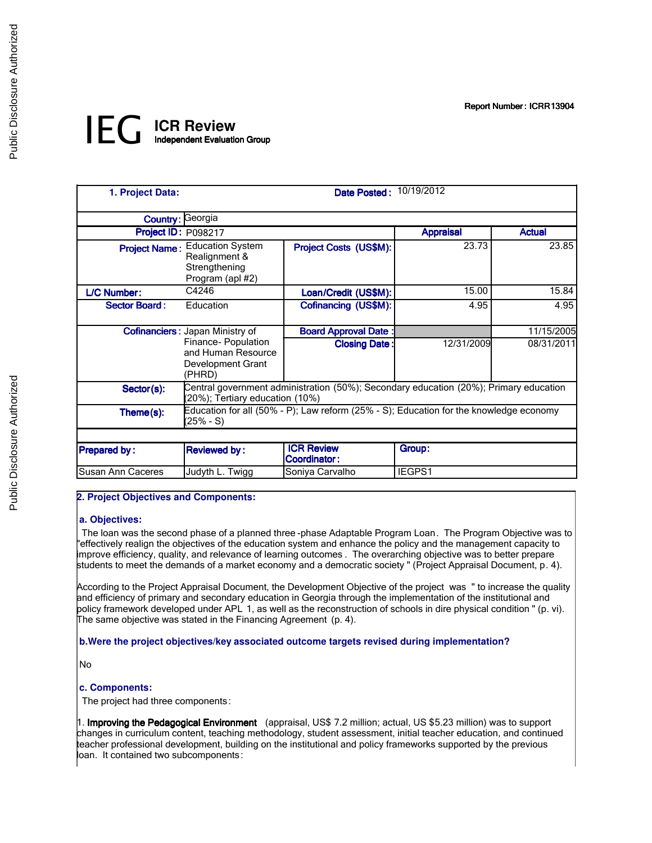Report Number: ICRR13904

# *IEG* **ICR Review** Independent Evaluation Group

| 1. Project Data:     |                                                                                             | Date Posted: 10/19/2012                                                                |                  |               |
|----------------------|---------------------------------------------------------------------------------------------|----------------------------------------------------------------------------------------|------------------|---------------|
|                      | <b>Country: Georgia</b>                                                                     |                                                                                        |                  |               |
| Project ID: P098217  |                                                                                             |                                                                                        | <b>Appraisal</b> | <b>Actual</b> |
|                      | <b>Project Name: Education System</b><br>Realignment &<br>Strengthening<br>Program (apl #2) | Project Costs (US\$M):                                                                 | 23.73            | 23.85         |
| <b>L/C Number:</b>   | C4246                                                                                       | Loan/Credit (US\$M):                                                                   | 15.00            | 15.84         |
| <b>Sector Board:</b> | Education                                                                                   | Cofinancing (US\$M):                                                                   | 4.95             | 4.95          |
|                      | <b>Cofinanciers: Japan Ministry of</b>                                                      | <b>Board Approval Date:</b>                                                            |                  | 11/15/2005    |
|                      | Finance-Population<br>and Human Resource<br>Development Grant<br>(PHRD)                     | <b>Closing Date:</b>                                                                   | 12/31/2009       | 08/31/2011    |
| Sector(s):           | (20%); Tertiary education (10%)                                                             | Central government administration (50%); Secondary education (20%); Primary education  |                  |               |
| Theme(s):            | $(25\% - S)$                                                                                | Education for all (50% - P); Law reform (25% - S); Education for the knowledge economy |                  |               |
|                      |                                                                                             |                                                                                        |                  |               |
| <b>Prepared by:</b>  | <b>Reviewed by:</b>                                                                         | <b>ICR Review</b><br><b>Coordinator:</b>                                               | Group:           |               |
| Susan Ann Caceres    | Judyth L. Twigg                                                                             | Soniya Carvalho                                                                        | IEGPS1           |               |

## **2. Project Objectives and Components:**

## **a. Objectives:**

 The loan was the second phase of a planned three -phase Adaptable Program Loan. The Program Objective was to "effectively realign the objectives of the education system and enhance the policy and the management capacity to improve efficiency, quality, and relevance of learning outcomes . The overarching objective was to better prepare students to meet the demands of a market economy and a democratic society " (Project Appraisal Document, p. 4).

According to the Project Appraisal Document, the Development Objective of the project was " to increase the quality and efficiency of primary and secondary education in Georgia through the implementation of the institutional and policy framework developed under APL 1, as well as the reconstruction of schools in dire physical condition " (p. vi). The same objective was stated in the Financing Agreement (p. 4).

## **b.Were the project objectives/key associated outcome targets revised during implementation?**

No

## **c. Components:**

The project had three components:

1. Improving the Pedagogical Environment (appraisal, US\$ 7.2 million; actual, US \$5.23 million) was to support changes in curriculum content, teaching methodology, student assessment, initial teacher education, and continued teacher professional development, building on the institutional and policy frameworks supported by the previous loan. It contained two subcomponents: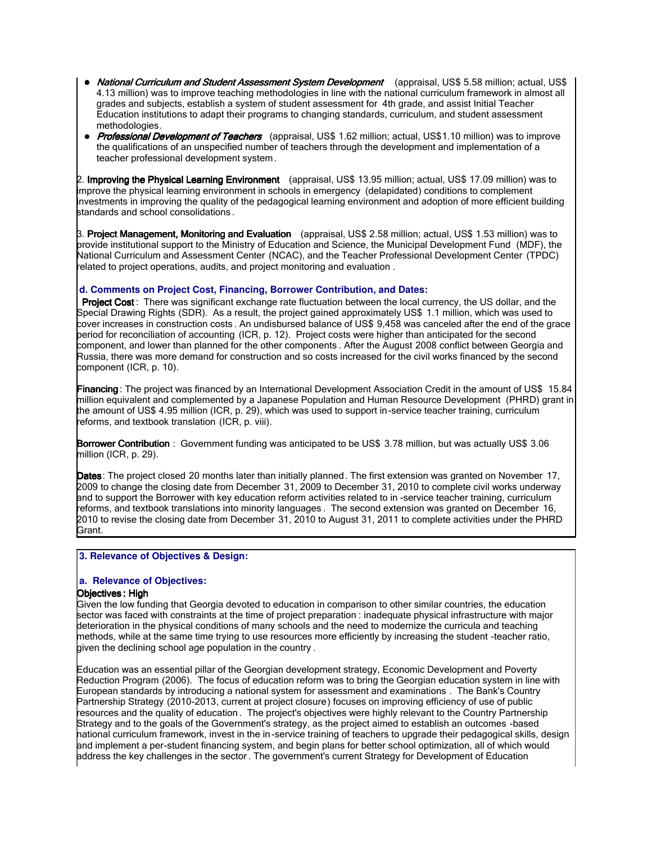- National Curriculum and Student Assessment System Development (appraisal, US\$ 5.58 million; actual, US\$ 4.13 million) was to improve teaching methodologies in line with the national curriculum framework in almost all grades and subjects, establish a system of student assessment for 4th grade, and assist Initial Teacher Education institutions to adapt their programs to changing standards, curriculum, and student assessment methodologies.
- Professional Development of Teachers (appraisal, US\$ 1.62 million; actual, US\$1.10 million) was to improve the qualifications of an unspecified number of teachers through the development and implementation of a teacher professional development system .

2. **Improving the Physical Learning Environment** (appraisal, US\$ 13.95 million; actual, US\$ 17.09 million) was to mprove the physical learning environment in schools in emergency (delapidated) conditions to complement investments in improving the quality of the pedagogical learning environment and adoption of more efficient building standards and school consolidations .

3. **Project Management, Monitoring and Evaluation** (appraisal, US\$ 2.58 million; actual, US\$ 1.53 million) was to provide institutional support to the Ministry of Education and Science, the Municipal Development Fund (MDF), the National Curriculum and Assessment Center (NCAC), and the Teacher Professional Development Center (TPDC) related to project operations, audits, and project monitoring and evaluation .

# **d. Comments on Project Cost, Financing, Borrower Contribution, and Dates:**

Project Cost: There was significant exchange rate fluctuation between the local currency, the US dollar, and the Special Drawing Rights (SDR). As a result, the project gained approximately US\$ 1.1 million, which was used to cover increases in construction costs . An undisbursed balance of US\$ 9,458 was canceled after the end of the grace period for reconciliation of accounting (ICR, p. 12). Project costs were higher than anticipated for the second component, and lower than planned for the other components . After the August 2008 conflict between Georgia and Russia, there was more demand for construction and so costs increased for the civil works financed by the second component (ICR, p. 10).

Financing: The project was financed by an International Development Association Credit in the amount of US\$ 15.84 million equivalent and complemented by a Japanese Population and Human Resource Development (PHRD) grant in the amount of US\$ 4.95 million (ICR, p. 29), which was used to support in-service teacher training, curriculum reforms, and textbook translation (ICR, p. viii).

Borrower Contribution : Government funding was anticipated to be US\$ 3.78 million, but was actually US\$ 3.06 million (ICR, p. 29).

Dates: The project closed 20 months later than initially planned. The first extension was granted on November 17, 2009 to change the closing date from December 31, 2009 to December 31, 2010 to complete civil works underway and to support the Borrower with key education reform activities related to in -service teacher training, curriculum reforms, and textbook translations into minority languages . The second extension was granted on December 16, 2010 to revise the closing date from December 31, 2010 to August 31, 2011 to complete activities under the PHRD Grant.

# **3. Relevance of Objectives & Design:**

## **a. Relevance of Objectives:**

# **Objectives: High**

Given the low funding that Georgia devoted to education in comparison to other similar countries, the education sector was faced with constraints at the time of project preparation : inadequate physical infrastructure with major deterioration in the physical conditions of many schools and the need to modernize the curricula and teaching methods, while at the same time trying to use resources more efficiently by increasing the student -teacher ratio, given the declining school age population in the country .

Education was an essential pillar of the Georgian development strategy, Economic Development and Poverty Reduction Program (2006). The focus of education reform was to bring the Georgian education system in line with European standards by introducing a national system for assessment and examinations . The Bank's Country Partnership Strategy (2010-2013, current at project closure) focuses on improving efficiency of use of public resources and the quality of education . The project's objectives were highly relevant to the Country Partnership Strategy and to the goals of the Government's strategy, as the project aimed to establish an outcomes -based national curriculum framework, invest in the in-service training of teachers to upgrade their pedagogical skills, design and implement a per-student financing system, and begin plans for better school optimization, all of which would address the key challenges in the sector . The government's current Strategy for Development of Education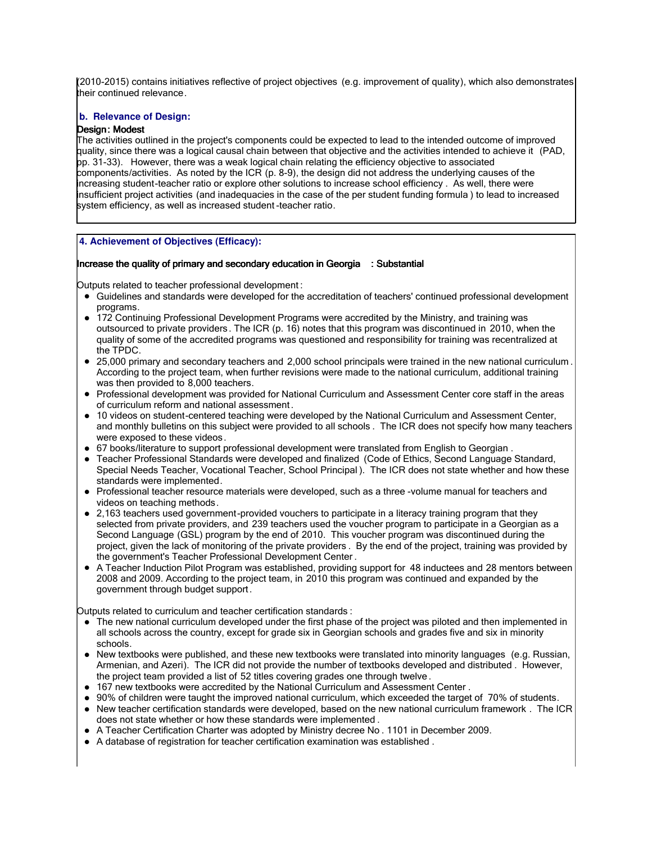(2010-2015) contains initiatives reflective of project objectives (e.g. improvement of quality), which also demonstrates their continued relevance.

# **b. Relevance of Design:**

# Design: Modest

The activities outlined in the project's components could be expected to lead to the intended outcome of improved quality, since there was a logical causal chain between that objective and the activities intended to achieve it (PAD, pp. 31-33). However, there was a weak logical chain relating the efficiency objective to associated components/activities. As noted by the ICR (p. 8-9), the design did not address the underlying causes of the increasing student-teacher ratio or explore other solutions to increase school efficiency . As well, there were insufficient project activities (and inadequacies in the case of the per student funding formula ) to lead to increased system efficiency, as well as increased student -teacher ratio.

# **4. Achievement of Objectives (Efficacy):**

#### I Increase the quality of primary and secondary education in Georgia : Substantial

Outputs related to teacher professional development :

- Guidelines and standards were developed for the accreditation of teachers' continued professional development programs.
- 172 Continuing Professional Development Programs were accredited by the Ministry, and training was outsourced to private providers. The ICR (p. 16) notes that this program was discontinued in 2010, when the quality of some of the accredited programs was questioned and responsibility for training was recentralized at the TPDC.
- 25,000 primary and secondary teachers and 2,000 school principals were trained in the new national curriculum . According to the project team, when further revisions were made to the national curriculum, additional training was then provided to 8,000 teachers.
- Professional development was provided for National Curriculum and Assessment Center core staff in the areas of curriculum reform and national assessment .
- 10 videos on student-centered teaching were developed by the National Curriculum and Assessment Center, and monthly bulletins on this subject were provided to all schools . The ICR does not specify how many teachers were exposed to these videos.
- 67 books/literature to support professional development were translated from English to Georgian .
- Teacher Professional Standards were developed and finalized (Code of Ethics, Second Language Standard, Special Needs Teacher, Vocational Teacher, School Principal ). The ICR does not state whether and how these standards were implemented.
- Professional teacher resource materials were developed, such as a three -volume manual for teachers and videos on teaching methods.
- 2,163 teachers used government-provided vouchers to participate in a literacy training program that they selected from private providers, and 239 teachers used the voucher program to participate in a Georgian as a Second Language (GSL) program by the end of 2010. This voucher program was discontinued during the project, given the lack of monitoring of the private providers . By the end of the project, training was provided by the government's Teacher Professional Development Center .
- A Teacher Induction Pilot Program was established, providing support for 48 inductees and 28 mentors between 2008 and 2009. According to the project team, in 2010 this program was continued and expanded by the government through budget support.

Outputs related to curriculum and teacher certification standards :

- The new national curriculum developed under the first phase of the project was piloted and then implemented in all schools across the country, except for grade six in Georgian schools and grades five and six in minority schools.
- New textbooks were published, and these new textbooks were translated into minority languages (e.g. Russian, Armenian, and Azeri). The ICR did not provide the number of textbooks developed and distributed . However, the project team provided a list of 52 titles covering grades one through twelve .
- 167 new textbooks were accredited by the National Curriculum and Assessment Center .
- 90% of children were taught the improved national curriculum, which exceeded the target of 70% of students.
- New teacher certification standards were developed, based on the new national curriculum framework . The ICR does not state whether or how these standards were implemented .
- A Teacher Certification Charter was adopted by Ministry decree No . 1101 in December 2009.
- A database of registration for teacher certification examination was established .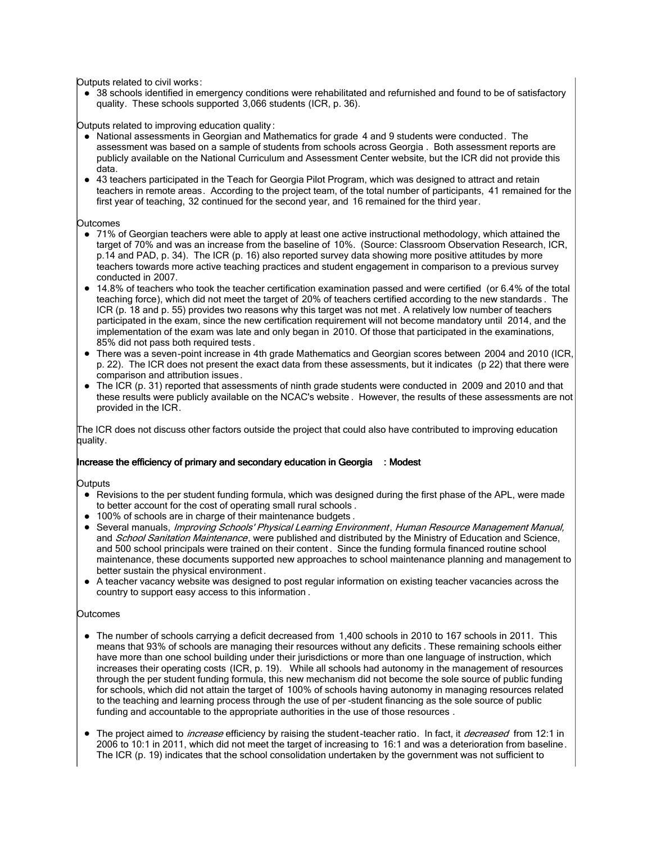Outputs related to civil works:

• 38 schools identified in emergency conditions were rehabilitated and refurnished and found to be of satisfactory quality. These schools supported 3,066 students (ICR, p. 36).

Outputs related to improving education quality :

- National assessments in Georgian and Mathematics for grade 4 and 9 students were conducted. The assessment was based on a sample of students from schools across Georgia . Both assessment reports are publicly available on the National Curriculum and Assessment Center website, but the ICR did not provide this data.
- 43 teachers participated in the Teach for Georgia Pilot Program, which was designed to attract and retain teachers in remote areas. According to the project team, of the total number of participants, 41 remained for the first year of teaching, 32 continued for the second year, and 16 remained for the third year.

#### **Outcomes**

- 71% of Georgian teachers were able to apply at least one active instructional methodology, which attained the target of 70% and was an increase from the baseline of 10%. (Source: Classroom Observation Research, ICR, p.14 and PAD, p. 34). The ICR (p. 16) also reported survey data showing more positive attitudes by more teachers towards more active teaching practices and student engagement in comparison to a previous survey conducted in 2007.
- 14.8% of teachers who took the teacher certification examination passed and were certified (or 6.4% of the total teaching force), which did not meet the target of 20% of teachers certified according to the new standards . The ICR (p. 18 and p. 55) provides two reasons why this target was not met . A relatively low number of teachers participated in the exam, since the new certification requirement will not become mandatory until 2014, and the implementation of the exam was late and only began in 2010. Of those that participated in the examinations, 85% did not pass both required tests.
- There was a seven-point increase in 4th grade Mathematics and Georgian scores between 2004 and 2010 (ICR, p. 22). The ICR does not present the exact data from these assessments, but it indicates (p 22) that there were comparison and attribution issues.
- The ICR (p. 31) reported that assessments of ninth grade students were conducted in 2009 and 2010 and that these results were publicly available on the NCAC's website . However, the results of these assessments are not provided in the ICR.

The ICR does not discuss other factors outside the project that could also have contributed to improving education quality.

## Increase the efficiency of primary and secondary education in Georgia : Modest

**Outputs** 

- Revisions to the per student funding formula, which was designed during the first phase of the APL, were made to better account for the cost of operating small rural schools .
- 100% of schools are in charge of their maintenance budgets.
- Several manuals, Improving Schools' Physical Learning Environment, Human Resource Management Manual, and School Sanitation Maintenance, were published and distributed by the Ministry of Education and Science, and 500 school principals were trained on their content . Since the funding formula financed routine school maintenance, these documents supported new approaches to school maintenance planning and management to better sustain the physical environment .
- A teacher vacancy website was designed to post regular information on existing teacher vacancies across the country to support easy access to this information .

#### **Outcomes**

- The number of schools carrying a deficit decreased from 1,400 schools in 2010 to 167 schools in 2011. This means that 93% of schools are managing their resources without any deficits . These remaining schools either have more than one school building under their jurisdictions or more than one language of instruction, which increases their operating costs (ICR, p. 19). While all schools had autonomy in the management of resources through the per student funding formula, this new mechanism did not become the sole source of public funding for schools, which did not attain the target of 100% of schools having autonomy in managing resources related to the teaching and learning process through the use of per -student financing as the sole source of public funding and accountable to the appropriate authorities in the use of those resources .
- The project aimed to *increase* efficiency by raising the student-teacher ratio. In fact, it *decreased* from 12:1 in 2006 to 10:1 in 2011, which did not meet the target of increasing to 16:1 and was a deterioration from baseline. The ICR (p. 19) indicates that the school consolidation undertaken by the government was not sufficient to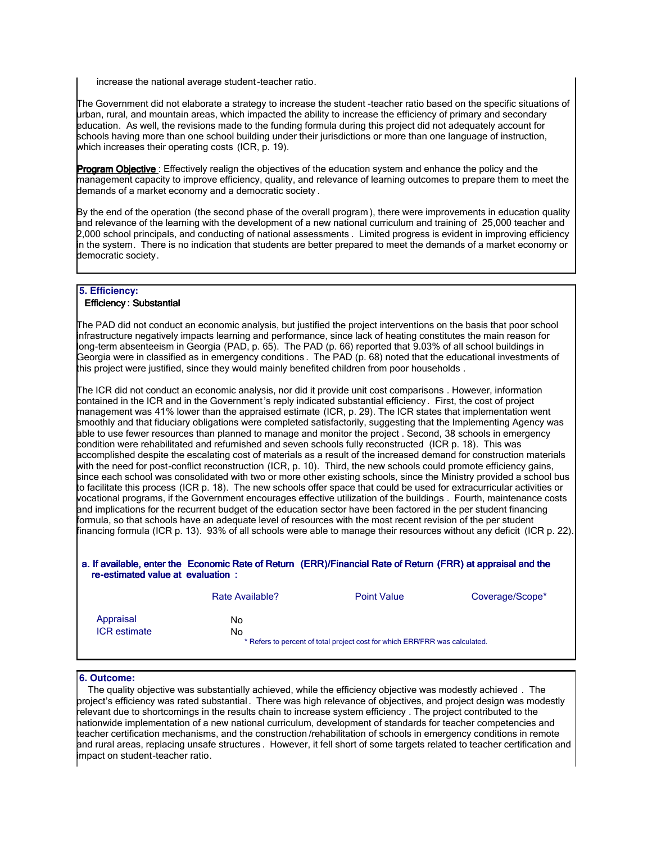increase the national average student-teacher ratio.

The Government did not elaborate a strategy to increase the student -teacher ratio based on the specific situations of urban, rural, and mountain areas, which impacted the ability to increase the efficiency of primary and secondary education. As well, the revisions made to the funding formula during this project did not adequately account for schools having more than one school building under their jurisdictions or more than one language of instruction, which increases their operating costs (ICR, p. 19).

Program Objective : Effectively realign the objectives of the education system and enhance the policy and the management capacity to improve efficiency, quality, and relevance of learning outcomes to prepare them to meet the demands of a market economy and a democratic society .

By the end of the operation (the second phase of the overall program ), there were improvements in education quality and relevance of the learning with the development of a new national curriculum and training of 25,000 teacher and 2,000 school principals, and conducting of national assessments . Limited progress is evident in improving efficiency in the system. There is no indication that students are better prepared to meet the demands of a market economy or democratic society.

#### **5. Efficiency:**

#### Efficiency : Substantial

The PAD did not conduct an economic analysis, but justified the project interventions on the basis that poor school infrastructure negatively impacts learning and performance, since lack of heating constitutes the main reason for long-term absenteeism in Georgia (PAD, p. 65). The PAD (p. 66) reported that 9.03% of all school buildings in Georgia were in classified as in emergency conditions . The PAD (p. 68) noted that the educational investments of this project were justified, since they would mainly benefited children from poor households .

The ICR did not conduct an economic analysis, nor did it provide unit cost comparisons . However, information contained in the ICR and in the Government's reply indicated substantial efficiency . First, the cost of project management was 41% lower than the appraised estimate (ICR, p. 29). The ICR states that implementation went smoothly and that fiduciary obligations were completed satisfactorily, suggesting that the Implementing Agency was able to use fewer resources than planned to manage and monitor the project . Second, 38 schools in emergency condition were rehabilitated and refurnished and seven schools fully reconstructed (ICR p. 18). This was accomplished despite the escalating cost of materials as a result of the increased demand for construction materials with the need for post-conflict reconstruction (ICR, p. 10). Third, the new schools could promote efficiency gains, since each school was consolidated with two or more other existing schools, since the Ministry provided a school bus to facilitate this process (ICR p. 18). The new schools offer space that could be used for extracurricular activities or vocational programs, if the Government encourages effective utilization of the buildings . Fourth, maintenance costs and implications for the recurrent budget of the education sector have been factored in the per student financing formula, so that schools have an adequate level of resources with the most recent revision of the per student financing formula (ICR p. 13). 93% of all schools were able to manage their resources without any deficit (ICR p. 22).

#### a. If available, enter the Economic Rate of Return (ERR)/Financial Rate of Return (FRR) at appraisal and the re-estimated value at evaluation :

|                                  | Rate Available? | <b>Point Value</b>                                                          | Coverage/Scope* |
|----------------------------------|-----------------|-----------------------------------------------------------------------------|-----------------|
| Appraisal<br><b>ICR</b> estimate | No.<br>No       | * Refers to percent of total project cost for which ERR/FRR was calculated. |                 |

#### **6. Outcome:**

 The quality objective was substantially achieved, while the efficiency objective was modestly achieved . The project's efficiency was rated substantial. There was high relevance of objectives, and project design was modestly relevant due to shortcomings in the results chain to increase system efficiency . The project contributed to the nationwide implementation of a new national curriculum, development of standards for teacher competencies and teacher certification mechanisms, and the construction /rehabilitation of schools in emergency conditions in remote and rural areas, replacing unsafe structures . However, it fell short of some targets related to teacher certification and impact on student-teacher ratio.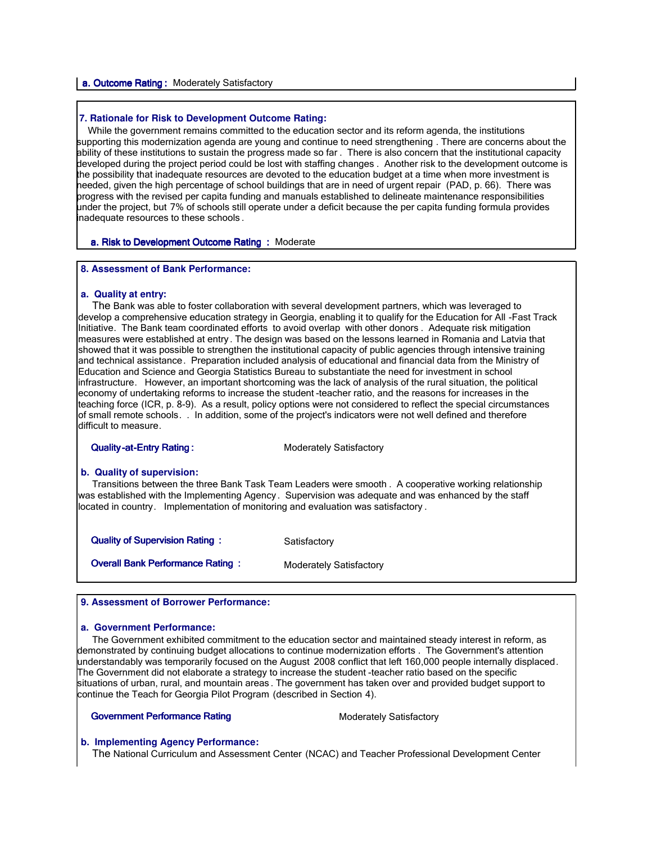#### a. Outcome Rating: Moderately Satisfactory

#### **7. Rationale for Risk to Development Outcome Rating:**

 While the government remains committed to the education sector and its reform agenda, the institutions supporting this modernization agenda are young and continue to need strengthening. There are concerns about the ability of these institutions to sustain the progress made so far . There is also concern that the institutional capacity developed during the project period could be lost with staffing changes . Another risk to the development outcome is the possibility that inadequate resources are devoted to the education budget at a time when more investment is needed, given the high percentage of school buildings that are in need of urgent repair (PAD, p. 66). There was progress with the revised per capita funding and manuals established to delineate maintenance responsibilities under the project, but 7% of schools still operate under a deficit because the per capita funding formula provides inadequate resources to these schools .

#### a. Risk to Development Outcome Rating : Moderate

#### **8. Assessment of Bank Performance:**

#### **a. Quality at entry:**

I

 The Bank was able to foster collaboration with several development partners, which was leveraged to develop a comprehensive education strategy in Georgia, enabling it to qualify for the Education for All -Fast Track Initiative. The Bank team coordinated efforts to avoid overlap with other donors . Adequate risk mitigation measures were established at entry. The design was based on the lessons learned in Romania and Latvia that showed that it was possible to strengthen the institutional capacity of public agencies through intensive training and technical assistance. Preparation included analysis of educational and financial data from the Ministry of Education and Science and Georgia Statistics Bureau to substantiate the need for investment in school infrastructure. However, an important shortcoming was the lack of analysis of the rural situation, the political economy of undertaking reforms to increase the student -teacher ratio, and the reasons for increases in the teaching force (ICR, p. 8-9). As a result, policy options were not considered to reflect the special circumstances of small remote schools. . In addition, some of the project's indicators were not well defined and therefore difficult to measure.

#### **Quality-at-Entry Rating :** Moderately Satisfactory

## **b. Quality of supervision:**

 Transitions between the three Bank Task Team Leaders were smooth . A cooperative working relationship was established with the Implementing Agency . Supervision was adequate and was enhanced by the staff located in country. Implementation of monitoring and evaluation was satisfactory .

**Quality of Supervision Rating :** Satisfactory **Overall Bank Performance Rating : Moderately Satisfactory** 

## **9. Assessment of Borrower Performance:**

#### **a. Government Performance:**

 The Government exhibited commitment to the education sector and maintained steady interest in reform, as demonstrated by continuing budget allocations to continue modernization efforts . The Government's attention understandably was temporarily focused on the August 2008 conflict that left 160,000 people internally displaced. The Government did not elaborate a strategy to increase the student -teacher ratio based on the specific situations of urban, rural, and mountain areas . The government has taken over and provided budget support to continue the Teach for Georgia Pilot Program (described in Section 4).

#### Government Performance Rating Moderately Satisfactory

#### **b. Implementing Agency Performance:**

The National Curriculum and Assessment Center (NCAC) and Teacher Professional Development Center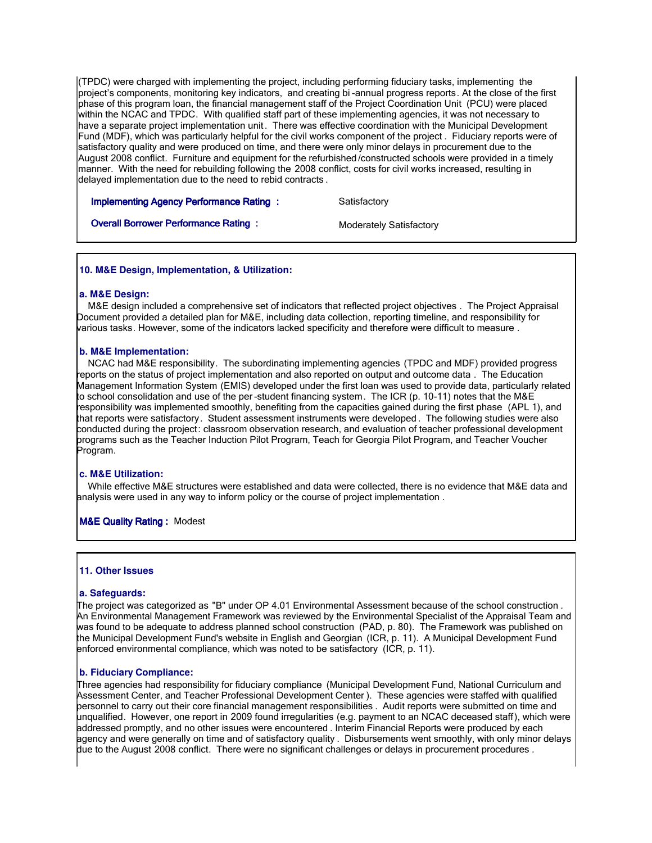(TPDC) were charged with implementing the project, including performing fiduciary tasks, implementing the project's components, monitoring key indicators, and creating bi -annual progress reports. At the close of the first phase of this program loan, the financial management staff of the Project Coordination Unit (PCU) were placed within the NCAC and TPDC. With qualified staff part of these implementing agencies, it was not necessary to have a separate project implementation unit . There was effective coordination with the Municipal Development Fund (MDF), which was particularly helpful for the civil works component of the project . Fiduciary reports were of satisfactory quality and were produced on time, and there were only minor delays in procurement due to the August 2008 conflict. Furniture and equipment for the refurbished /constructed schools were provided in a timely manner. With the need for rebuilding following the 2008 conflict, costs for civil works increased, resulting in delayed implementation due to the need to rebid contracts .

**Implementing Agency Performance Rating : Satisfactory** 

**Overall Borrower Performance Rating :** Moderately Satisfactory

# **10. M&E Design, Implementation, & Utilization:**

## **a. M&E Design:**

 M&E design included a comprehensive set of indicators that reflected project objectives . The Project Appraisal Document provided a detailed plan for M&E, including data collection, reporting timeline, and responsibility for various tasks. However, some of the indicators lacked specificity and therefore were difficult to measure .

## **b. M&E Implementation:**

 NCAC had M&E responsibility. The subordinating implementing agencies (TPDC and MDF) provided progress reports on the status of project implementation and also reported on output and outcome data . The Education Management Information System (EMIS) developed under the first loan was used to provide data, particularly related to school consolidation and use of the per -student financing system. The ICR (p. 10-11) notes that the M&E responsibility was implemented smoothly, benefiting from the capacities gained during the first phase (APL 1), and that reports were satisfactory. Student assessment instruments were developed . The following studies were also conducted during the project: classroom observation research, and evaluation of teacher professional development programs such as the Teacher Induction Pilot Program, Teach for Georgia Pilot Program, and Teacher Voucher Program.

## **c. M&E Utilization:**

 While effective M&E structures were established and data were collected, there is no evidence that M&E data and analysis were used in any way to inform policy or the course of project implementation .

## **M&E Quality Rating : Modest**

## **11. Other Issues**

## **a. Safeguards:**

I

The project was categorized as "B" under OP 4.01 Environmental Assessment because of the school construction . An Environmental Management Framework was reviewed by the Environmental Specialist of the Appraisal Team and was found to be adequate to address planned school construction (PAD, p. 80). The Framework was published on the Municipal Development Fund's website in English and Georgian (ICR, p. 11). A Municipal Development Fund enforced environmental compliance, which was noted to be satisfactory (ICR, p. 11).

## **b. Fiduciary Compliance:**

Three agencies had responsibility for fiduciary compliance (Municipal Development Fund, National Curriculum and Assessment Center, and Teacher Professional Development Center ). These agencies were staffed with qualified personnel to carry out their core financial management responsibilities . Audit reports were submitted on time and unqualified. However, one report in 2009 found irregularities (e.g. payment to an NCAC deceased staff), which were addressed promptly, and no other issues were encountered . Interim Financial Reports were produced by each agency and were generally on time and of satisfactory quality . Disbursements went smoothly, with only minor delays due to the August 2008 conflict. There were no significant challenges or delays in procurement procedures .